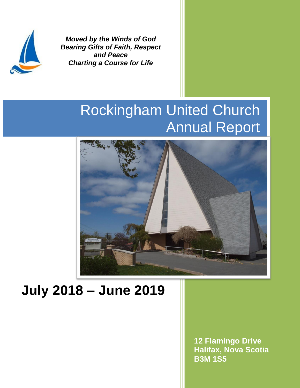

*Moved by the Winds of God Bearing Gifts of Faith, Respect and Peace Charting a Course for Life*

# Rockingham United Church Annual Report



# **July 2018 – June 2019**

**12 Flamingo Drive Halifax, Nova Scotia B3M 1S5**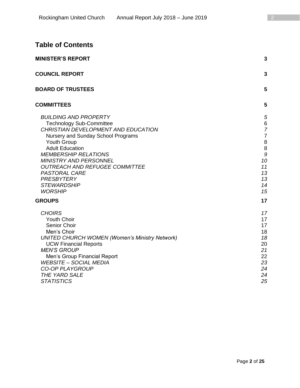## **Table of Contents**

| <b>MINISTER'S REPORT</b>                                                                                                                                                                                                                                                                                                                                                            | 3                                                                                |
|-------------------------------------------------------------------------------------------------------------------------------------------------------------------------------------------------------------------------------------------------------------------------------------------------------------------------------------------------------------------------------------|----------------------------------------------------------------------------------|
| <b>COUNCIL REPORT</b>                                                                                                                                                                                                                                                                                                                                                               | 3                                                                                |
| <b>BOARD OF TRUSTEES</b>                                                                                                                                                                                                                                                                                                                                                            | 5                                                                                |
| <b>COMMITTEES</b>                                                                                                                                                                                                                                                                                                                                                                   | 5                                                                                |
| <b>BUILDING AND PROPERTY</b><br><b>Technology Sub-Committee</b><br>CHRISTIAN DEVELOPMENT AND EDUCATION<br>Nursery and Sunday School Programs<br>Youth Group<br><b>Adult Education</b><br><b>MEMBERSHIP RELATIONS</b><br><b>MINISTRY AND PERSONNEL</b><br><b>OUTREACH AND REFUGEE COMMITTEE</b><br><b>PASTORAL CARE</b><br><b>PRESBYTERY</b><br><b>STEWARDSHIP</b><br><b>WORSHIP</b> | 5<br>6<br>7<br>$\overline{7}$<br>8<br>8<br>9<br>10<br>11<br>13<br>13<br>14<br>15 |
| <b>GROUPS</b>                                                                                                                                                                                                                                                                                                                                                                       | 17                                                                               |
| <b>CHOIRS</b><br><b>Youth Choir</b><br>Senior Choir<br>Men's Choir<br><b>UNITED CHURCH WOMEN (Women's Ministry Network)</b><br><b>UCW Financial Reports</b><br><b>MEN'S GROUP</b><br>Men's Group Financial Report<br><b>WEBSITE - SOCIAL MEDIA</b><br><b>CO-OP PLAYGROUP</b><br>THE YARD SALE<br><b>STATISTICS</b>                                                                  | 17<br>17<br>17<br>18<br>18<br>20<br>21<br>22<br>23<br>24<br>24<br>25             |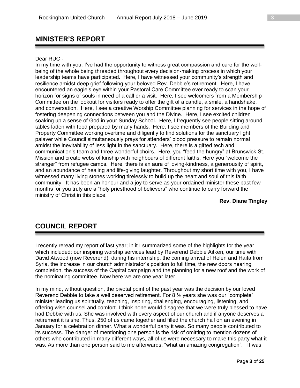## **MINISTER'S REPORT**

#### Dear RUC -

In my time with you, I've had the opportunity to witness great compassion and care for the wellbeing of the whole being threaded throughout every decision-making process in which your leadership teams have participated. Here, I have witnessed your community's strength and resilience amidst deep grief following your beloved Rev. Debbie's retirement. Here, I have encountered an eagle's eye within your Pastoral Care Committee ever ready to scan your horizon for signs of souls in need of a call or a visit. Here, I see welcomers from a Membership Committee on the lookout for visitors ready to offer the gift of a candle, a smile, a handshake, and conversation. Here, I see a creative Worship Committee planning for services in the hope of fostering deepening connections between you and the Divine. Here, I see excited children soaking up a sense of God in your Sunday School. Here, I frequently see people sitting around tables laden with food prepared by many hands. Here, I see members of the Building and Property Committee working overtime and diligently to find solutions for the sanctuary light palaver while Council simultaneously prays for attenders' blood pressure to remain normal amidst the inevitability of less light in the sanctuary. Here, there is a gifted tech and communication's team and three wonderful choirs. Here, you "feed the hungry" at Brunswick St. Mission and create webs of kinship with neighbours of different faiths. Here you "welcome the stranger" from refugee camps. Here, there is an aura of loving-kindness, a generousity of spirit, and an abundance of healing and life-giving laughter. Throughout my short time with you, I have witnessed many living stones working tirelessly to build up the heart and soul of this faith community. It has been an honour and a joy to serve as your ordained minister these past few months for you truly are a "holy priesthood of believers" who continue to carry forward the ministry of Christ in this place!

**Rev. Diane Tingley**

## **COUNCIL REPORT**

I recently reread my report of last year; in it I summarized some of the highlights for the year which included: our inspiring worship services lead by Reverend Debbie Aitken, our time with David Atwood (now Reverend) during his internship, the coming arrival of Helen and Haifa from Syria, the increase in our church administrator's position to full time, the new doors nearing completion, the success of the Capital campaign and the planning for a new roof and the work of the nominating committee. Now here we are one year later.

In my mind, without question, the pivotal point of the past year was the decision by our loved Reverend Debbie to take a well deserved retirement. For 8 ½ years she was our "complete" minister leading us spiritually, teaching, inspiring, challenging, encouraging, listening, and offering wise counsel and comfort. I think none would disagree that we were truly blessed to have had Debbie with us. She was involved with every aspect of our church and if anyone deserves a retirement it is she. Thus, 250 of us came together and filled the church hall on an evening in January for a celebration dinner. What a wonderful party it was. So many people contributed to its success. The danger of mentioning one person is the risk of omitting to mention dozens of others who contributed in many different ways, all of us were necessary to make this party what it was. As more than one person said to me afterwards, "what an amazing congregation". It was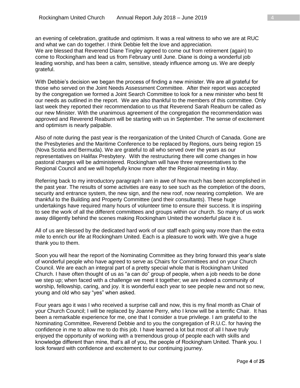an evening of celebration, gratitude and optimism. It was a real witness to who we are at RUC and what we can do together. I think Debbie felt the love and appreciation. We are blessed that Reverend Diane Tingley agreed to come out from retirement (again) to come to Rockingham and lead us from February until June. Diane is doing a wonderful job leading worship, and has been a calm, sensitive, steady influence among us. We are deeply grateful.

With Debbie's decision we began the process of finding a new minister. We are all grateful for those who served on the Joint Needs Assessment Committee. After their report was accepted by the congregation we formed a Joint Search Committee to look for a new minister who best fit our needs as outlined in the report. We are also thankful to the members of this committee. Only last week they reported their recommendation to us that Reverend Sarah Reaburn be called as our new Minister. With the unanimous agreement of the congregation the recommendation was approved and Reverend Reaburn will be starting with us in September. The sense of excitement and optimism is nearly palpable.

Also of note during the past year is the reorganization of the United Church of Canada. Gone are the Presbyteries and the Maritime Conference to be replaced by Regions, ours being region 15 (Nova Scotia and Bermuda). We are grateful to all who served over the years as our representatives on Halifax Presbytery. With the restructuring there will come changes in how pastoral charges will be administered. Rockingham will have three representatives to the Regional Council and we will hopefully know more after the Regional meeting in May.

Referring back to my introductory paragraph I am in awe of how much has been accomplished in the past year. The results of some activities are easy to see such as the completion of the doors, security and entrance system, the new sign, and the new roof, now nearing completion. We are thankful to the Building and Property Committee (and their consultants). These huge undertakings have required many hours of volunteer time to ensure their success. It is inspiring to see the work of all the different committees and groups within our church. So many of us work away diligently behind the scenes making Rockingham United the wonderful place it is.

All of us are blessed by the dedicated hard work of our staff each going way more than the extra mile to enrich our life at Rockingham United. Each is a pleasure to work with. We give a huge thank you to them.

Soon you will hear the report of the Nominating Committee as they bring forward this year's slate of wonderful people who have agreed to serve as Chairs for Committees and on your Church Council. We are each an integral part of a pretty special whole that is Rockingham United Church. I have often thought of us as "a can do" group of people, when a job needs to be done we step up; when faced with a challenge we meet it together; we are indeed a community of worship, fellowship, caring, and joy. It is wonderful each year to see people new and not so new, young and old who say "yes" when asked.

Four years ago it was I who received a surprise call and now, this is my final month as Chair of your Church Council; I will be replaced by Joanne Perry, who I know will be a terrific Chair. It has been a remarkable experience for me, one that I consider a true privilege. I am grateful to the Nominating Committee, Reverend Debbie and to you the congregation of R.U.C. for having the confidence in me to allow me to do this job. I have learned a lot but most of all I have truly enjoyed the opportunity of working with a tremendous group of people each with skills and knowledge different than mine, that's all of you, the people of Rockingham United. Thank you. I look forward with confidence and excitement to our continuing journey.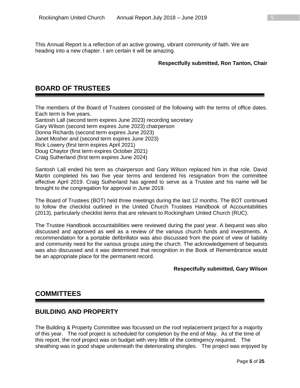This Annual Report is a reflection of an active growing, vibrant community of faith. We are heading into a new chapter. I am certain it will be amazing.

#### **Respectfully submitted, Ron Tanton, Chair**

## **BOARD OF TRUSTEES**

The members of the Board of Trustees consisted of the following with the terms of office dates. Each term is five years.

Santosh Lall (second term expires June 2023) recording secretary Gary Wilson (second term expires June 2023) chairperson Donna Richards (second term expires June 2023) Janet Mosher and (second term expires June 2023) Rick Lowery (first term expires April 2021) Doug Chaytor (first term expires October 2021) Craig Sutherland (first term expires June 2024)

Santosh Lall ended his term as chairperson and Gary Wilson replaced him in that role. David Martin completed his two five year terms and tendered his resignation from the committee effective April 2019. Craig Sutherland has agreed to serve as a Trustee and his name will be brought to the congregation for approval in June 2019.

The Board of Trustees (BOT) held three meetings during the last 12 months. The BOT continued to follow the checklist outlined in the United Church Trustees Handbook of Accountabilities (2013), particularly checklist items that are relevant to Rockingham United Church (RUC).

The Trustee Handbook accountabilities were reviewed during the past year. A bequest was also discussed and approved as well as a review of the various church funds and investments. A recommendation for a portable defibrillator was also discussed from the point of view of liability and community need for the various groups using the church. The acknowledgement of bequests was also discussed and it was determined that recognition in the Book of Remembrance would be an appropriate place for the permanent record.

#### **Respectfully submitted, Gary Wilson**

## **COMMITTEES**

## **BUILDING AND PROPERTY**

The Building & Property Committee was focussed on the roof replacement project for a majority of this year. The roof project is scheduled for completion by the end of May. As of the time of this report, the roof project was on budget with very little of the contingency required. The sheathing was in good shape underneath the deteriorating shingles. The project was enjoyed by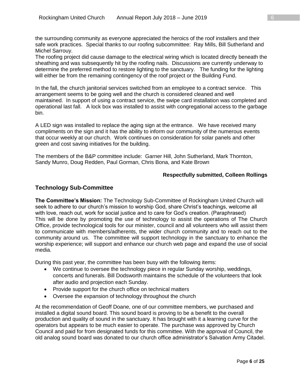the surrounding community as everyone appreciated the heroics of the roof installers and their safe work practices. Special thanks to our roofing subcommittee: Ray Mills, Bill Sutherland and Michel Sarrouy.

The roofing project did cause damage to the electrical wiring which is located directly beneath the sheathing and was subsequently hit by the roofing nails. Discussions are currently underway to determine the preferred method to restore lighting to the sanctuary. The funding for the lighting will either be from the remaining contingency of the roof project or the Building Fund.

In the fall, the church janitorial services switched from an employee to a contract service. This arrangement seems to be going well and the church is considered cleaned and well maintained. In support of using a contract service, the swipe card installation was completed and operational last fall. A lock box was installed to assist with congregational access to the garbage bin.

A LED sign was installed to replace the aging sign at the entrance. We have received many compliments on the sign and it has the ability to inform our community of the numerous events that occur weekly at our church. Work continues on consideration for solar panels and other green and cost saving initiatives for the building.

The members of the B&P committee include: Garner Hill, John Sutherland, Mark Thornton, Sandy Munro, Doug Redden, Paul Gorman, Chris Bona, and Kate Brown

#### **Respectfully submitted, Colleen Rollings**

#### **Technology Sub-Committee**

**The Committee's Mission:** The Technology Sub-Committee of Rockingham United Church will seek to adhere to our church's mission to worship God, share Christ's teachings, welcome all with love, reach out, work for social justice and to care for God's creation. (Paraphrased) This will be done by promoting the use of technology to assist the operations of The Church Office, provide technological tools for our minister, council and all volunteers who will assist them to communicate with members/adherents, the wider church community and to reach out to the community around us. The committee will support technology in the sanctuary to enhance the worship experience; will support and enhance our church web page and expand the use of social media.

During this past year, the committee has been busy with the following items:

- We continue to oversee the technology piece in regular Sunday worship, weddings, concerts and funerals. Bill Dodsworth maintains the schedule of the volunteers that look after audio and projection each Sunday.
- Provide support for the church office on technical matters
- Oversee the expansion of technology throughout the church

At the recommendation of Geoff Doane, one of our committee members, we purchased and installed a digital sound board. This sound board is proving to be a benefit to the overall production and quality of sound in the sanctuary. It has brought with it a learning curve for the operators but appears to be much easier to operate. The purchase was approved by Church Council and paid for from designated funds for this committee. With the approval of Council, the old analog sound board was donated to our church office administrator's Salvation Army Citadel.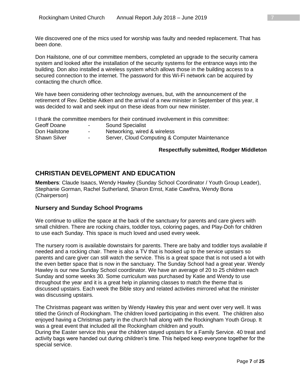We discovered one of the mics used for worship was faulty and needed replacement. That has been done.

Don Hailstone, one of our committee members, completed an upgrade to the security camera system and looked after the installation of the security systems for the entrance ways into the building. Don also installed a wireless system which allows those in the building access to a secured connection to the internet. The password for this Wi-Fi network can be acquired by contacting the church office.

We have been considering other technology avenues, but, with the announcement of the retirement of Rev. Debbie Aitken and the arrival of a new minister in September of this year, it was decided to wait and seek input on these ideas from our new minister.

I thank the committee members for their continued involvement in this committee:

| Geoff Doane         | $\sim$ | <b>Sound Specialist</b>                        |
|---------------------|--------|------------------------------------------------|
| Don Hailstone       | $\sim$ | Networking, wired & wireless                   |
| <b>Shawn Silver</b> | $\sim$ | Server, Cloud Computing & Computer Maintenance |

#### **Respectfully submitted, Rodger Middleton**

## **CHRISTIAN DEVELOPMENT AND EDUCATION**

**Members**: Claude Isaacs, Wendy Hawley (Sunday School Coordinator / Youth Group Leader), Stephanie Gorman, Rachel Sutherland, Sharon Ernst, Katie Cawthra, Wendy Bona (Chairperson)

#### **Nursery and Sunday School Programs**

We continue to utilize the space at the back of the sanctuary for parents and care givers with small children. There are rocking chairs, toddler toys, coloring pages, and Play-Doh for children to use each Sunday. This space is much loved and used every week.

The nursery room is available downstairs for parents. There are baby and toddler toys available if needed and a rocking chair. There is also a TV that is hooked up to the service upstairs so parents and care giver can still watch the service. This is a great space that is not used a lot with the even better space that is now in the sanctuary. The Sunday School had a great year. Wendy Hawley is our new Sunday School coordinator. We have an average of 20 to 25 children each Sunday and some weeks 30. Some curriculum was purchased by Katie and Wendy to use throughout the year and it is a great help in planning classes to match the theme that is discussed upstairs. Each week the Bible story and related activities mirrored what the minister was discussing upstairs.

The Christmas pageant was written by Wendy Hawley this year and went over very well. It was titled the Grinch of Rockingham. The children loved participating in this event. The children also enjoyed having a Christmas party in the church hall along with the Rockingham Youth Group. It was a great event that included all the Rockingham children and youth.

During the Easter service this year the children stayed upstairs for a Family Service. 40 treat and activity bags were handed out during children's time. This helped keep everyone together for the special service.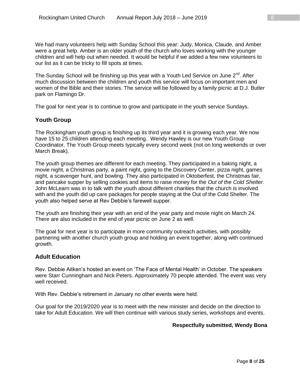We had many volunteers help with Sunday School this year: Judy, Monica, Claude, and Amber were a great help. Amber is an older youth of the church who loves working with the younger children and will help out when needed. It would be helpful if we added a few new volunteers to our list as it can be tricky to fill spots at times.

The Sunday School will be finishing up this year with a Youth Led Service on June 2<sup>nd</sup>. After much discussion between the children and youth this service will focus on important men and women of the Bible and their stories. The service will be followed by a family picnic at D.J. Butler park on Flamingo Dr.

The goal for next year is to continue to grow and participate in the youth service Sundays.

#### **Youth Group**

The Rockingham youth group is finishing up its third year and it is growing each year. We now have 15 to 25 children attending each meeting. Wendy Hawley is our new Youth Group Coordinator. The Youth Group meets typically every second week (not on long weekends or over March Break).

The youth group themes are different for each meeting. They participated in a baking night, a movie night, a Christmas party, a paint night, going to the Discovery Center, pizza night, games night, a scavenger hunt, and bowling. They also participated in Oktoberfest, the Christmas fair, and pancake supper by selling cookies and items to raise money for the *Out of the Cold Shelter*. John McLearn was in to talk with the youth about different charities that the church is involved with and the youth did up care packages for people staying at the Out of the Cold Shelter. The youth also helped serve at Rev Debbie's farewell supper.

The youth are finishing their year with an end of the year party and movie night on March 24. There are also included in the end of year picnic on June 2 as well.

The goal for next year is to participate in more community outreach activities, with possibly partnering with another church youth group and holding an event together, along with continued growth.

#### **Adult Education**

Rev. Debbie Aitken's hosted an event on 'The Face of Mental Health' in October. The speakers were Starr Cunningham and Nick Peters. Approximately 70 people attended. The event was very well received.

With Rev. Debbie's retirement in January no other events were held.

Our goal for the 2019/2020 year is to meet with the new minister and decide on the direction to take for Adult Education. We will then continue with various study series, workshops and events.

#### **Respectfully submitted, Wendy Bona**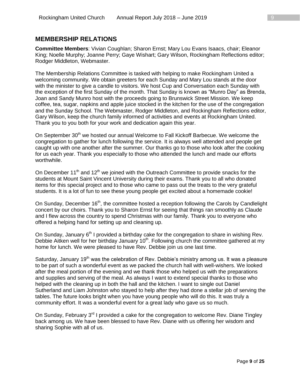#### **MEMBERSHIP RELATIONS**

**Committee Members**: Vivian Coughlan; Sharon Ernst; Mary Lou Evans Isaacs, chair; Eleanor King; Noelle Murphy; Joanne Perry; Gaye Wishart; Gary Wilson, Rockingham Reflections editor; Rodger Middleton, Webmaster.

The Membership Relations Committee is tasked with helping to make Rockingham United a welcoming community. We obtain greeters for each Sunday and Mary Lou stands at the door with the minister to give a candle to visitors. We host Cup and Conversation each Sunday with the exception of the first Sunday of the month. That Sunday is known as "Munro Day" as Brenda, Joan and Sandy Munro host with the proceeds going to Brunswick Street Mission. We keep coffee, tea, sugar, napkins and apple juice stocked in the kitchen for the use of the congregation and the Sunday School. The Webmaster, Rodger Middleton, and Rockingham Reflections editor, Gary Wilson, keep the church family informed of activities and events at Rockingham United. Thank you to you both for your work and dedication again this year.

On September 30<sup>th</sup> we hosted our annual Welcome to Fall Kickoff Barbecue. We welcome the congregation to gather for lunch following the service. It is always well attended and people get caught up with one another after the summer. Our thanks go to those who look after the cooking for us each year. Thank you especially to those who attended the lunch and made our efforts worthwhile.

On December 11<sup>th</sup> and 12<sup>th</sup> we joined with the Outreach Committee to provide snacks for the students at Mount Saint Vincent University during their exams. Thank you to all who donated items for this special project and to those who came to pass out the treats to the very grateful students. It is a lot of fun to see these young people get excited about a homemade cookie!

On Sunday, December 16<sup>th</sup>, the committee hosted a reception following the Carols by Candlelight concert by our choirs. Thank you to Sharon Ernst for seeing that things ran smoothly as Claude and I flew across the country to spend Christmas with our family. Thank you to everyone who offered a helping hand for setting up and cleaning up.

On Sunday, January  $6<sup>th</sup>$  I provided a birthday cake for the congregation to share in wishing Rev. Debbie Aitken well for her birthday January  $10^{th}$ . Following church the committee gathered at my home for lunch. We were pleased to have Rev. Debbie join us one last time.

Saturday, January 19<sup>th</sup> was the celebration of Rev. Debbie's ministry among us. It was a pleasure to be part of such a wonderful event as we packed the church hall with well-wishers. We looked after the meal portion of the evening and we thank those who helped us with the preparations and supplies and serving of the meal. As always I want to extend special thanks to those who helped with the cleaning up in both the hall and the kitchen. I want to single out Daniel Sutherland and Liam Johnston who stayed to help after they had done a stellar job of serving the tables. The future looks bright when you have young people who will do this. It was truly a community effort. It was a wonderful event for a great lady who gave us so much.

On Sunday, February 3<sup>rd</sup> I provided a cake for the congregation to welcome Rev. Diane Tingley back among us. We have been blessed to have Rev. Diane with us offering her wisdom and sharing Sophie with all of us.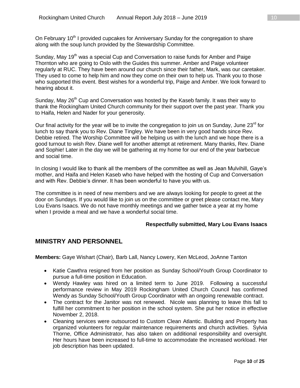On February 10<sup>th</sup> I provided cupcakes for Anniversary Sunday for the congregation to share along with the soup lunch provided by the Stewardship Committee.

Sunday, May 19<sup>th</sup> was a special Cup and Conversation to raise funds for Amber and Paige Thornton who are going to Oslo with the Guides this summer. Amber and Paige volunteer regularly at RUC. They have been around our church since their father, Mark, was our caretaker. They used to come to help him and now they come on their own to help us. Thank you to those who supported this event. Best wishes for a wonderful trip, Paige and Amber. We look forward to hearing about it.

Sunday, May 26<sup>th</sup> Cup and Conversation was hosted by the Kaseb family. It was their way to thank the Rockingham United Church community for their support over the past year. Thank you to Haifa, Helen and Nader for your generosity.

Our final activity for the year will be to invite the congregation to join us on Sunday, June 23<sup>rd</sup> for lunch to say thank you to Rev. Diane Tingley. We have been in very good hands since Rev. Debbie retired. The Worship Committee will be helping us with the lunch and we hope there is a good turnout to wish Rev. Diane well for another attempt at retirement. Many thanks, Rev. Diane and Sophie! Later in the day we will be gathering at my home for our end of the year barbecue and social time.

In closing I would like to thank all the members of the committee as well as Jean Mulvihill, Gaye's mother, and Haifa and Helen Kaseb who have helped with the hosting of Cup and Conversation and with Rev. Debbie's dinner. It has been wonderful to have you with us.

The committee is in need of new members and we are always looking for people to greet at the door on Sundays. If you would like to join us on the committee or greet please contact me, Mary Lou Evans Isaacs. We do not have monthly meetings and we gather twice a year at my home when I provide a meal and we have a wonderful social time.

#### **Respectfully submitted, Mary Lou Evans Isaacs**

## **MINISTRY AND PERSONNEL**

**Members:** Gaye Wishart (Chair), Barb Lall, Nancy Lowery, Ken McLeod, JoAnne Tanton

- Katie Cawthra resigned from her position as Sunday School/Youth Group Coordinator to pursue a full-time position in Education.
- Wendy Hawley was hired on a limited term to June 2019. Following a successful performance review in May 2019 Rockingham United Church Council has confirmed Wendy as Sunday School/Youth Group Coordinator with an ongoing renewable contract.
- The contract for the Janitor was not renewed. Nicole was planning to leave this fall to fulfill her commitment to her position in the school system. She put her notice in effective November 2, 2018.
- Cleaning services were outsourced to Custom Clean Atlantic. Building and Property has organized volunteers for regular maintenance requirements and church activities. Sylvia Thorne, Office Administrator, has also taken on additional responsibility and oversight. Her hours have been increased to full-time to accommodate the increased workload. Her job description has been updated.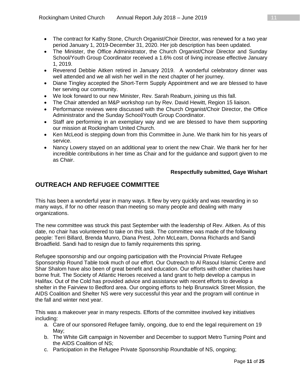- The contract for Kathy Stone, Church Organist/Choir Director, was renewed for a two year period January 1, 2019-December 31, 2020. Her job description has been updated.
- The Minister, the Office Administrator, the Church Organist/Choir Director and Sunday School/Youth Group Coordinator received a 1.6% cost of living increase effective January 1, 2019.
- Reverend Debbie Aitken retired in January 2019. A wonderful celebratory dinner was well attended and we all wish her well in the next chapter of her journey.
- Diane Tingley accepted the Short-Term Supply Appointment and we are blessed to have her serving our community.
- We look forward to our new Minister, Rev. Sarah Reaburn, joining us this fall.
- The Chair attended an M&P workshop run by Rev. David Hewitt, Region 15 liaison.
- Performance reviews were discussed with the Church Organist/Choir Director, the Office Administrator and the Sunday School/Youth Group Coordinator.
- Staff are performing in an exemplary way and we are blessed to have them supporting our mission at Rockingham United Church.
- Ken McLeod is stepping down from this Committee in June. We thank him for his years of service.
- Nancy Lowery stayed on an additional year to orient the new Chair. We thank her for her incredible contributions in her time as Chair and for the guidance and support given to me as Chair.

#### **Respectfully submitted, Gaye Wishart**

## **OUTREACH AND REFUGEE COMMITTEE**

This has been a wonderful year in many ways. It flew by very quickly and was rewarding in so many ways, if for no other reason than meeting so many people and dealing with many organizations.

The new committee was struck this past September with the leadership of Rev. Aitken. As of this date, no chair has volunteered to take on this task. The committee was made of the following people: Terri Billard, Brenda Munro, Diana Prest, John McLearn, Donna Richards and Sandi Broadfield. Sandi had to resign due to family requirements this spring.

Refugee sponsorship and our ongoing participation with the Provincial Private Refugee Sponsorship Round Table took much of our effort. Our Outreach to Al Rasoul Islamic Centre and Shar Shalom have also been of great benefit and education. Our efforts with other charities have borne fruit. The Society of Atlantic Heroes received a land grant to help develop a campus in Halifax. Out of the Cold has provided advice and assistance with recent efforts to develop a shelter in the Fairview to Bedford area. Our ongoing efforts to help Brunswick Street Mission, the AIDS Coalition and Shelter NS were very successful this year and the program will continue in the fall and winter next year.

This was a makeover year in many respects. Efforts of the committee involved key initiatives including:

- a. Care of our sponsored Refugee family, ongoing, due to end the legal requirement on 19 May;
- b. The White Gift campaign in November and December to support Metro Turning Point and the AIDS Coalition of NS;
- c. Participation in the Refugee Private Sponsorship Roundtable of NS, ongoing;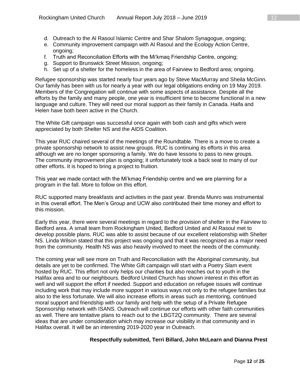- e. Community improvement campaign with Al Rasoul and the Ecology Action Centre, ongoing;
- f. Truth and Reconciliation Efforts with the Mi'kmaq Friendship Centre, ongoing;
- g. Support to Brunswick Street Mission, ongoing;
- h. Set up of a shelter for the homeless in the area of Fairview to Bedford area; ongoing.

Refugee sponsorship was started nearly four years ago by Steve MacMurray and Sheila McGinn. Our family has been with us for nearly a year with our legal obligations ending on 19 May 2019. Members of the Congregation will continue with some aspects of assistance. Despite all the efforts by the family and many people, one year is insufficient time to become functional in a new language and culture. They will need our moral support as their family in Canada. Haifa and Helen have both been active in the Church.

The White Gift campaign was successful once again with both cash and gifts which were appreciated by both Shelter NS and the AIDS Coalition.

This year RUC chaired several of the meetings of the Roundtable. There is a move to create a private sponsorship network to assist new groups. RUC is continuing its efforts in this area although we are no longer sponsoring a family. We do have lessons to pass to new groups. The community improvement plan is ongoing; it unfortunately took a back seat to many of our other efforts. It is hoped to bring a project to fruition.

This year we made contact with the Mi'kmaq Friendship centre and we are planning for a program in the fall. More to follow on this effort.

RUC supported many breakfasts and activities in the past year. Brenda Munro was instrumental in this overall effort. The Men's Group and UCW also contributed their time money and effort to this mission.

Early this year, there were several meetings in regard to the provision of shelter in the Fairview to Bedford area. A small team from Rockingham United, Bedford United and Al Rasoul met to develop possible plans. RUC was able to assist because of our excellent relationship with Shelter NS. Linda Wilson stated that this project was ongoing and that it was recognized as a major need from the community. Health NS was also heavily involved to meet the needs of the community.

The coming year will see more on Truth and Reconciliation with the Aboriginal community, but details are yet to be confirmed. The White Gift campaign will start with a Poetry Slam event hosted by RUC. This effort not only helps our charities but also reaches out to youth in the Halifax area and to our neighbours. Bedford United Church has shown interest in this effort as well and will support the effort if needed. Support and education on refugee issues will continue including work that may include more support in various ways not only to the refugee families but also to the less fortunate. We will also increase efforts in areas such as mentoring, continued moral support and friendship with our family and help with the setup of a Private Refugee Sponsorship network with ISANS. Outreach will continue our efforts with other faith communities as well. There are tentative plans to reach out to the LBGT2Q community. There are several ideas that are under consideration which may increase our visibility in that community and in Halifax overall. It will be an interesting 2019-2020 year in Outreach.

#### **Respectfully submitted, Terri Billard, John McLearn and Dianna Prest**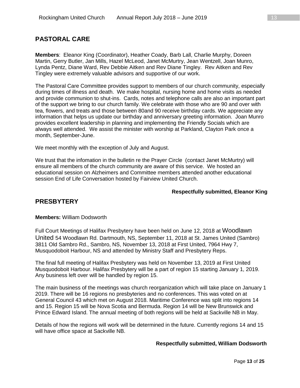## **PASTORAL CARE**

**Members**: Eleanor King (Coordinator), Heather Coady, Barb Lall, Charlie Murphy, Doreen Martin, Gerry Butler, Jan Mills, Hazel McLeod, Janet McMurtry, Jean Wentzell, Joan Munro, Lynda Pentz, Diane Ward, Rev Debbie Aitken and Rev Diane Tingley. Rev Aitken and Rev Tingley were extremely valuable advisors and supportive of our work.

The Pastoral Care Committee provides support to members of our church community, especially during times of illness and death. We make hospital, nursing home and home visits as needed and provide communion to shut-ins. Cards, notes and telephone calls are also an important part of the support we bring to our church family. We celebrate with those who are 90 and over with tea, flowers, and treats and those between 80and 90 receive birthday cards. We appreciate any information that helps us update our birthday and anniversary greeting information. Joan Munro provides excellent leadership in planning and implementing the Friendly Socials which are always well attended. We assist the minister with worship at Parkland, Clayton Park once a month, September-June.

We meet monthly with the exception of July and August.

We trust that the infomation in the bulletin re the Prayer Circle (contact Janet McMurtry) will ensure all members of the church community are aware of this service. We hosted an educational session on Alzheimers and Committee members attended another educational session End of Life Conversation hosted by Fairview United Church.

#### **Respectfully submitted, Eleanor King**

## **PRESBYTERY**

**Members:** William Dodsworth

Full Court Meetings of Halifax Presbytery have been held on June 12, 2018 at Woodlawn United 54 Woodlawn Rd. Dartmouth, NS, September 11, 2018 at St. James United (Sambro) 3811 Old Sambro Rd., Sambro, NS, November 13, 2018 at First United, 7964 Hwy 7, Musquodoboit Harbour, NS and attended by Ministry Staff and Presbytery Reps.

The final full meeting of Halifax Presbytery was held on November 13, 2019 at First United Musquodoboit Harbour. Halifax Presbytery will be a part of region 15 starting January 1, 2019. Any business left over will be handled by region 15.

The main business of the meetings was church reorganization which will take place on January 1 2019. There will be 16 regions no presbyteries and no conferences. This was voted on at General Council 43 which met on August 2018. Maritime Conference was split into regions 14 and 15. Region 15 will be Nova Scotia and Bermuda. Region 14 will be New Brunswick and Prince Edward Island. The annual meeting of both regions will be held at Sackville NB in May.

Details of how the regions will work will be determined in the future. Currently regions 14 and 15 will have office space at Sackville NB.

#### **Respectfully submitted, William Dodsworth**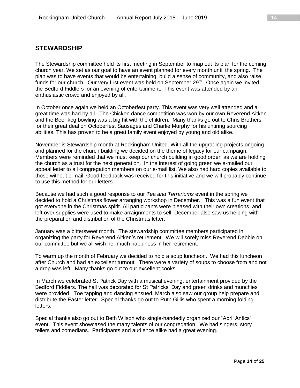## **STEWARDSHIP**

The Stewardship committee held its first meeting in September to map out its plan for the coming church year. We set as our goal to have an event planned for every month until the spring. The plan was to have events that would be entertaining, build a sense of community, and also raise funds for our church. Our very first event was held on September  $29<sup>th</sup>$ . Once again we invited the Bedford Fiddlers for an evening of entertainment. This event was attended by an enthusiastic crowd and enjoyed by all.

In October once again we held an Octoberfest party. This event was very well attended and a great time was had by all. The Chicken dance competition was won by our own Reverend Aitken and the Beer keg bowling was a big hit with the children. Many thanks go out to Chris Brothers for their great deal on Octoberfest Sausages and Charlie Murphy for his untiring sourcing abilities. This has proven to be a great family event enjoyed by young and old alike.

November is Stewardship month at Rockingham United. With all the upgrading projects ongoing and planned for the church building we decided on the theme of legacy for our campaign. Members were reminded that we must keep our church building in good order, as we are holding the church as a trust for the next generation. In the interest of going green we e-mailed our appeal letter to all congregation members on our e-mail list. We also had hard copies available to those without e-mail. Good feedback was received for this initiative and we will probably continue to use this method for our letters.

Because we had such a good response to our *Tea and Terrariums* event in the spring we decided to hold a Christmas flower arranging workshop in December. This was a fun event that got everyone in the Christmas spirit. All participants were pleased with their own creations, and left over supplies were used to make arraignments to sell. December also saw us helping with the preparation and distribution of the Christmas letter.

January was a bittersweet month. The stewardship committee members participated in organizing the party for Reverend Aitken's retirement. We will sorely miss Reverend Debbie on our committee but we all wish her much happiness in her retirement.

To warm up the month of February we decided to hold a soup luncheon. We had this luncheon after Church and had an excellent turnout. There were a variety of soups to choose from and not a drop was left. Many thanks go out to our excellent cooks.

In March we celebrated St Patrick Day with a musical evening, entertainment provided by the Bedford Fiddlers. The hall was decorated for St Patricks' Day and green drinks and munchies were provided. Toe tapping and dancing ensued. March also saw our group help prepare and distribute the Easter letter. Special thanks go out to Ruth Gillis who spent a morning folding letters.

Special thanks also go out to Beth Wilson who single-handedly organized our "April Antics" event. This event showcased the many talents of our congregation. We had singers, story tellers and comedians. Participants and audience alike had a great evening.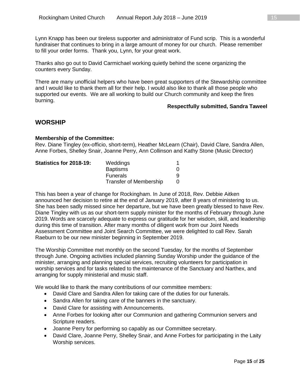Lynn Knapp has been our tireless supporter and administrator of Fund scrip. This is a wonderful fundraiser that continues to bring in a large amount of money for our church. Please remember to fill your order forms. Thank you, Lynn, for your great work.

Thanks also go out to David Carmichael working quietly behind the scene organizing the counters every Sunday.

There are many unofficial helpers who have been great supporters of the Stewardship committee and I would like to thank them all for their help. I would also like to thank all those people who supported our events. We are all working to build our Church community and keep the fires burning.

#### **Respectfully submitted, Sandra Taweel**

#### **WORSHIP**

#### **Membership of the Committee:**

Rev. Diane Tingley (ex-officio, short-term), Heather McLearn (Chair), David Clare, Sandra Allen, Anne Forbes, Shelley Snair, Joanne Perry, Ann Collinson and Kathy Stone (Music Director)

| Statistics for 2018-19: | Weddings                      |  |
|-------------------------|-------------------------------|--|
|                         | <b>Baptisms</b>               |  |
|                         | <b>Funerals</b>               |  |
|                         | <b>Transfer of Membership</b> |  |

This has been a year of change for Rockingham. In June of 2018, Rev. Debbie Aitken announced her decision to retire at the end of January 2019, after 8 years of ministering to us. She has been sadly missed since her departure, but we have been greatly blessed to have Rev. Diane Tingley with us as our short-term supply minister for the months of February through June 2019. Words are scarcely adequate to express our gratitude for her wisdom, skill, and leadership during this time of transition. After many months of diligent work from our Joint Needs Assessment Committee and Joint Search Committee, we were delighted to call Rev. Sarah Raeburn to be our new minister beginning in September 2019.

The Worship Committee met monthly on the second Tuesday, for the months of September through June. Ongoing activities included planning Sunday Worship under the guidance of the minister, arranging and planning special services, recruiting volunteers for participation in worship services and for tasks related to the maintenance of the Sanctuary and Narthex, and arranging for supply ministerial and music staff.

We would like to thank the many contributions of our committee members:

- David Clare and Sandra Allen for taking care of the duties for our funerals.
- Sandra Allen for taking care of the banners in the sanctuary.
- David Clare for assisting with Announcements.
- Anne Forbes for looking after our Communion and gathering Communion servers and Scripture readers.
- Joanne Perry for performing so capably as our Committee secretary.
- David Clare, Joanne Perry, Shelley Snair, and Anne Forbes for participating in the Laity Worship services.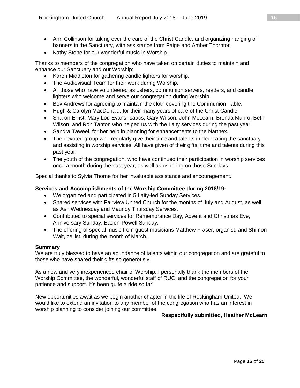- Ann Collinson for taking over the care of the Christ Candle, and organizing hanging of banners in the Sanctuary, with assistance from Paige and Amber Thornton
- Kathy Stone for our wonderful music in Worship.

Thanks to members of the congregation who have taken on certain duties to maintain and enhance our Sanctuary and our Worship:

- Karen Middleton for gathering candle lighters for worship.
- The Audiovisual Team for their work during Worship.
- All those who have volunteered as ushers, communion servers, readers, and candle lighters who welcome and serve our congregation during Worship.
- Bev Andrews for agreeing to maintain the cloth covering the Communion Table.
- Hugh & Carolyn MacDonald, for their many years of care of the Christ Candle
- Sharon Ernst, Mary Lou Evans-Isaacs, Gary Wilson, John McLearn, Brenda Munro, Beth Wilson, and Ron Tanton who helped us with the Laity services during the past year.
- Sandra Taweel, for her help in planning for enhancements to the Narthex.
- The devoted group who regularly give their time and talents in decorating the sanctuary and assisting in worship services. All have given of their gifts, time and talents during this past year.
- The youth of the congregation, who have continued their participation in worship services once a month during the past year, as well as ushering on those Sundays.

Special thanks to Sylvia Thorne for her invaluable assistance and encouragement.

#### **Services and Accomplishments of the Worship Committee during 2018/19:**

- We organized and participated in 5 Laity-led Sunday Services.
- Shared services with Fairview United Church for the months of July and August, as well as Ash Wednesday and Maundy Thursday Services.
- Contributed to special services for Remembrance Day, Advent and Christmas Eve, Anniversary Sunday, Baden-Powell Sunday.
- The offering of special music from guest musicians Matthew Fraser, organist, and Shimon Walt, cellist, during the month of March.

#### **Summary**

We are truly blessed to have an abundance of talents within our congregation and are grateful to those who have shared their gifts so generously.

As a new and very inexperienced chair of Worship, I personally thank the members of the Worship Committee, the wonderful, wonderful staff of RUC, and the congregation for your patience and support. It's been quite a ride so far!

New opportunities await as we begin another chapter in the life of Rockingham United. We would like to extend an invitation to any member of the congregation who has an interest in worship planning to consider joining our committee.

#### **Respectfully submitted, Heather McLearn**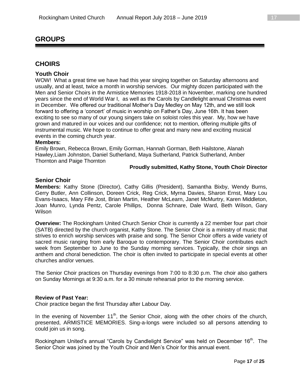## **GROUPS**

### **CHOIRS**

#### **Youth Choir**

WOW! What a great time we have had this year singing together on Saturday afternoons and usually, and at least, twice a month in worship services. Our mighty dozen participated with the Men and Senior Choirs in the Armistice Memories 1918-2018 in November, marking one hundred years since the end of World War I, as well as the Carols by Candlelight annual Christmas event in December. We offered our traditional Mother's Day Medley on May 12th, and we still look forward to offering a 'concert' of music in worship on Father's Day, June 16th. It has been exciting to see so many of our young singers take on soloist roles this year. My, how we have grown and matured in our voices and our confidence; not to mention, offering multiple gifts of instrumental music. We hope to continue to offer great and many new and exciting musical events in the coming church year.

#### **Members:**

Emily Brown, Rebecca Brown, Emily Gorman, Hannah Gorman, Beth Hailstone, Alanah Hawley,Liam Johnston, Daniel Sutherland, Maya Sutherland, Patrick Sutherland, Amber Thornton and Paige Thornton

#### **Proudly submitted, Kathy Stone, Youth Choir Director**

#### **Senior Choir**

**Members:** Kathy Stone (Director), Cathy Gillis (President), Samantha Bixby, Wendy Burns, Gerry Butler, Ann Collinson, Doreen Crick, Reg Crick, Myrna Davies, Sharon Ernst, Mary Lou Evans-Isaacs, Mary Fife Jost, Brian Martin, Heather McLearn, Janet McMurtry, Karen Middleton, Joan Munro, Lynda Pentz, Carole Phillips, Donna Schnare, Dale Ward, Beth Wilson, Gary **Wilson** 

**Overview:** The Rockingham United Church Senior Choir is currently a 22 member four part choir (SATB) directed by the church organist, Kathy Stone. The Senior Choir is a ministry of music that strives to enrich worship services with praise and song. The Senior Choir offers a wide variety of sacred music ranging from early Baroque to contemporary. The Senior Choir contributes each week from September to June to the Sunday morning services. Typically, the choir sings an anthem and choral benediction. The choir is often invited to participate in special events at other churches and/or venues.

The Senior Choir practices on Thursday evenings from 7:00 to 8:30 p.m. The choir also gathers on Sunday Mornings at 9:30 a.m. for a 30 minute rehearsal prior to the morning service.

#### **Review of Past Year:**

Choir practice began the first Thursday after Labour Day.

In the evening of November  $11<sup>th</sup>$ , the Senior Choir, along with the other choirs of the church, presented, ARMISTICE MEMORIES. Sing-a-longs were included so all persons attending to could join us in song.

Rockingham United's annual "Carols by Candlelight Service" was held on December 16<sup>th</sup>. The Senior Choir was joined by the Youth Choir and Men's Choir for this annual event.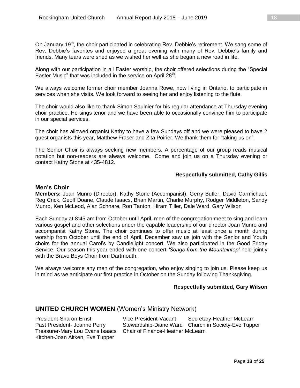On January 19<sup>th</sup>, the choir participated in celebrating Rev. Debbie's retirement. We sang some of Rev. Debbie's favorites and enjoyed a great evening with many of Rev. Debbie's family and friends. Many tears were shed as we wished her well as she began a new road in life.

Along with our participation in all Easter worship, the choir offered selections during the "Special Easter Music" that was included in the service on April 28<sup>th</sup>.

We always welcome former choir member Joanna Rowe, now living in Ontario, to participate in services when she visits. We look forward to seeing her and enjoy listening to the flute.

The choir would also like to thank Simon Saulnier for his regular attendance at Thursday evening choir practice. He sings tenor and we have been able to occasionally convince him to participate in our special services.

The choir has allowed organist Kathy to have a few Sundays off and we were pleased to have 2 guest organists this year, Matthew Fraser and Zita Poirier. We thank them for "taking us on".

The Senior Choir is always seeking new members. A percentage of our group reads musical notation but non-readers are always welcome. Come and join us on a Thursday evening or contact Kathy Stone at 435-4812.

#### **Respectfully submitted, Cathy Gillis**

#### **Men's Choir**

**Members:** Joan Munro (Director), Kathy Stone (Accompanist), Gerry Butler, David Carmichael, Reg Crick, Geoff Doane, Claude Isaacs, Brian Martin, Charlie Murphy, Rodger Middleton, Sandy Munro, Ken McLeod, Alan Schnare, Ron Tanton, Hiram Tiller, Dale Ward, Gary Wilson

Each Sunday at 8:45 am from October until April, men of the congregation meet to sing and learn various gospel and other selections under the capable leadership of our director Joan Munro and accompanist Kathy Stone. The choir continues to offer music at least once a month during worship from October until the end of April. December saw us join with the Senior and Youth choirs for the annual Carol's by Candlelight concert. We also participated in the Good Friday Service. Our season this year ended with one concert *'Songs from the Mountaintop'* held jointly with the Bravo Boys Choir from Dartmouth.

We always welcome any men of the congregation, who enjoy singing to join us. Please keep us in mind as we anticipate our first practice in October on the Sunday following Thanksgiving.

#### **Respectfully submitted, Gary Wilson**

#### **UNITED CHURCH WOMEN** (Women's Ministry Network)

Kitchen-Joan Aitken, Eve Tupper

President-Sharon Ernst Vice President-Vacant Secretary-Heather McLearn Past President- Joanne Perry Stewardship-Diane Ward Church in Society-Eve Tupper Treasurer-Mary Lou Evans Isaacs Chair of Finance-Heather McLearn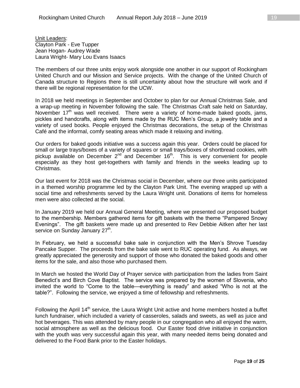**Unit Leaders:** Clayton Park - Eve Tupper Jean Hogan- Audrey Wade Laura Wright- Mary Lou Evans Isaacs

The members of our three units enjoy work alongside one another in our support of Rockingham United Church and our Mission and Service projects. With the change of the United Church of Canada structure to Regions there is still uncertainty about how the structure will work and if there will be regional representation for the UCW.

In 2018 we held meetings in September and October to plan for our Annual Christmas Sale, and a wrap-up meeting in November following the sale. The Christmas Craft sale held on Saturday, November  $17<sup>th</sup>$  was well received. There were a variety of home-made baked goods, jams, pickles and handcrafts, along with items made by the RUC Men's Group, a jewelry table and a variety of used books. People enjoyed the Christmas decorations, the setup of the Christmas Café and the informal, comfy seating areas which made it relaxing and inviting.

Our orders for baked goods initiative was a success again this year. Orders could be placed for small or large trays/boxes of a variety of squares or small trays/boxes of shortbread cookies, with pickup available on December  $2^{nd}$  and December 16<sup>th</sup>. This is very convenient for people especially as they host get-togethers with family and friends in the weeks leading up to Christmas.

Our last event for 2018 was the Christmas social in December, where our three units participated in a themed worship programme led by the Clayton Park Unit. The evening wrapped up with a social time and refreshments served by the Laura Wright unit. Donations of items for homeless men were also collected at the social.

In January 2019 we held our Annual General Meeting, where we presented our proposed budget to the membership. Members gathered items for gift baskets with the theme "Pampered Snowy Evenings". The gift baskets were made up and presented to Rev Debbie Aitken after her last service on Sunday January 27<sup>th</sup>.

In February, we held a successful bake sale in conjunction with the Men's Shrove Tuesday Pancake Supper. The proceeds from the bake sale went to RUC operating fund. As always, we greatly appreciated the generosity and support of those who donated the baked goods and other items for the sale, and also those who purchased them.

In March we hosted the World Day of Prayer service with participation from the ladies from Saint Benedict's and Birch Cove Baptist. The service was prepared by the women of Slovenia, who invited the world to "Come to the table—everything is ready" and asked "Who is not at the table?". Following the service, we enjoyed a time of fellowship and refreshments.

Following the April 14<sup>th</sup> service, the Laura Wright Unit active and home members hosted a buffet lunch fundraiser, which included a variety of casseroles, salads and sweets, as well as juice and hot beverages. This was attended by many people in our congregation who all enjoyed the warm, social atmosphere as well as the delicious food. Our Easter food drive initiative in conjunction with the youth was very successful again this year, with many needed items being donated and delivered to the Food Bank prior to the Easter holidays.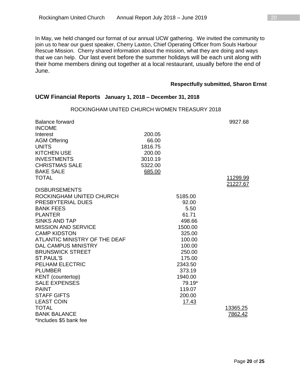In May, we held changed our format of our annual UCW gathering. We invited the community to join us to hear our guest speaker, Cherry Laxton, Chief Operating Officer from Souls Harbour Rescue Mission. Cherry shared information about the mission, what they are doing and ways that we can help. Our last event before the summer holidays will be each unit along with their home members dining out together at a local restaurant, usually before the end of June.

#### **Respectfully submitted, Sharon Ernst**

#### **UCW Financial Reports January 1, 2018 – December 31, 2018**

| <b>Balance forward</b><br><b>INCOME</b> |         |                 | 9927.68  |
|-----------------------------------------|---------|-----------------|----------|
| Interest                                | 200.05  |                 |          |
| <b>AGM Offering</b>                     | 66.00   |                 |          |
| <b>UNITS</b>                            | 1816.75 |                 |          |
| <b>KITCHEN USE</b>                      | 200.00  |                 |          |
| <b>INVESTMENTS</b>                      | 3010.19 |                 |          |
| <b>CHRISTMAS SALE</b>                   | 5322.00 |                 |          |
| <b>BAKE SALE</b>                        | 685.00  |                 |          |
| <b>TOTAL</b>                            |         |                 | 11299.99 |
|                                         |         |                 | 21227.67 |
| <b>DISBURSEMENTS</b>                    |         |                 |          |
| ROCKINGHAM UNITED CHURCH                |         | 5185.00         |          |
| PRESBYTERIAL DUES                       |         | 92.00           |          |
| <b>BANK FEES</b>                        |         | 5.50            |          |
| <b>PLANTER</b><br><b>SINKS AND TAP</b>  |         | 61.71<br>498.66 |          |
| <b>MISSION AND SERVICE</b>              |         | 1500.00         |          |
| <b>CAMP KIDSTON</b>                     |         | 325.00          |          |
| ATLANTIC MINISTRY OF THE DEAF           |         | 100.00          |          |
| <b>DAL CAMPUS MINISTRY</b>              |         | 100.00          |          |
| <b>BRUNSWICK STREET</b>                 |         | 250.00          |          |
| ST.PAUL'S                               |         | 175.00          |          |
| <b>PELHAM ELECTRIC</b>                  |         | 2343.50         |          |
| <b>PLUMBER</b>                          |         | 373.19          |          |
| <b>KENT</b> (countertop)                |         | 1940.00         |          |
| <b>SALE EXPENSES</b>                    |         | 79.19*          |          |
| <b>PAINT</b>                            |         | 119.07          |          |
| <b>STAFF GIFTS</b>                      |         | 200.00          |          |
| <b>LEAST COIN</b>                       |         | 17.43           |          |
| <b>TOTAL</b>                            |         |                 | 13365.25 |
| <b>BANK BALANCE</b>                     |         |                 | 7862.42  |
| *Includes \$5 bank fee                  |         |                 |          |

## ROCKINGHAM UNITED CHURCH WOMEN TREASURY 2018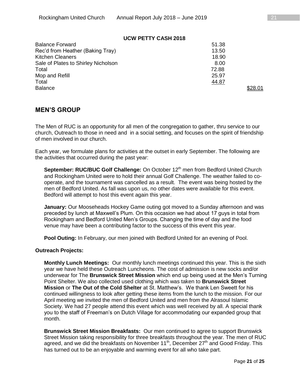#### **UCW PETTY CASH 2018**

| <b>Balance Forward</b>              | 51.38  |  |
|-------------------------------------|--------|--|
| Rec'd from Heather (Baking Tray)    | 13.50  |  |
| <b>Kitchen Cleaners</b>             | 18.90  |  |
| Sale of Plates to Shirley Nicholson | 8.00   |  |
| Total                               | 72.88  |  |
| Mop and Refill                      | 25.97  |  |
| Total                               | 44.87  |  |
| <b>Balance</b>                      | ኔ28.01 |  |

## **MEN'S GROUP**

The Men of RUC is an opportunity for all men of the congregation to gather, thru service to our church, Outreach to those in need and in a social setting, and focuses on the spirit of friendship of men involved in our church.

Each year, we formulate plans for activities at the outset in early September. The following are the activities that occurred during the past year:

**September: RUC/BUC Golf Challenge:** On October 12<sup>th</sup> men from Bedford United Church and Rockingham United were to hold their annual Golf Challenge. The weather failed to cooperate, and the tournament was cancelled as a result. The event was being hosted by the men of Bedford United. As fall was upon us, no other dates were available for this event. Bedford will attempt to host this event again this year.

**January:** Our Mooseheads Hockey Game outing got moved to a Sunday afternoon and was preceded by lunch at Maxwell's Plum. On this occasion we had about 17 guys in total from Rockingham and Bedford United Men's Groups. Changing the time of day and the food venue may have been a contributing factor to the success of this event this year.

**Pool Outing:** In February, our men joined with Bedford United for an evening of Pool.

#### **Outreach Projects:**

**Monthly Lunch Meetings:** Our monthly lunch meetings continued this year. This is the sixth year we have held these Outreach Luncheons. The cost of admission is new socks and/or underwear for The **Brunswick Street Mission** which end up being used at the Men's Turning Point Shelter. We also collected used clothing which was taken to **Brunswick Street Mission** or **The Out of the Cold Shelter** at St. Matthew's. We thank Len Sweett for his continued willingness to look after getting these items from the lunch to the mission. For our April meeting we invited the men of Bedford United and men from the Alrasoul Islamic Society. We had 27 people attend this event which was well received by all. A special thank you to the staff of Freeman's on Dutch Village for accommodating our expanded group that month.

**Brunswick Street Mission Breakfasts:** Our men continued to agree to support Brunswick Street Mission taking responsibility for three breakfasts throughout the year. The men of RUC agreed, and we did the breakfasts on November 11<sup>th</sup>, December 27<sup>th</sup> and Good Friday. This has turned out to be an enjoyable and warming event for all who take part.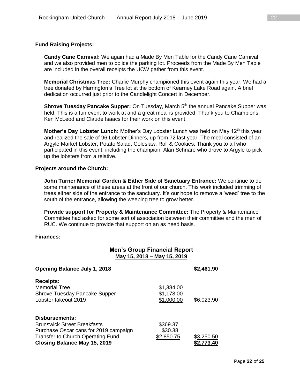#### **Fund Raising Projects:**

**Candy Cane Carnival:** We again had a Made By Men Table for the Candy Cane Carnival and we also provided men to police the parking lot. Proceeds from the Made By Men Table are included in the overall receipts the UCW gather from this event.

**Memorial Christmas Tree:** Charlie Murphy championed this event again this year. We had a tree donated by Harrington's Tree lot at the bottom of Kearney Lake Road again. A brief dedication occurred just prior to the Candlelight Concert in December.

**Shrove Tuesday Pancake Supper:** On Tuesday, March 5<sup>th</sup> the annual Pancake Supper was held. This is a fun event to work at and a great meal is provided. Thank you to Champions, Ken McLeod and Claude Isaacs for their work on this event.

**Mother's Day Lobster Lunch:** Mother's Day Lobster Lunch was held on May 12<sup>th</sup> this year and realized the sale of 96 Lobster Dinners, up from 72 last year. The meal consisted of an Argyle Market Lobster, Potato Salad, Coleslaw, Roll & Cookies. Thank you to all who participated in this event, including the champion, Alan Schnare who drove to Argyle to pick up the lobsters from a relative.

#### **Projects around the Church:**

**John Turner Memorial Garden & Either Side of Sanctuary Entrance:** We continue to do some maintenance of these areas at the front of our church. This work included trimming of trees either side of the entrance to the sanctuary. It's our hope to remove a 'weed' tree to the south of the entrance, allowing the weeping tree to grow better.

**Provide support for Property & Maintenance Committee:** The Property & Maintenance Committee had asked for some sort of association between their committee and the men of RUC. We continue to provide that support on an as need basis.

#### **Finances:**

|                                                                                                                                                                                         | <b>Men's Group Financial Report</b><br>May 15, 2018 - May 15, 2019 |                          |
|-----------------------------------------------------------------------------------------------------------------------------------------------------------------------------------------|--------------------------------------------------------------------|--------------------------|
| <b>Opening Balance July 1, 2018</b>                                                                                                                                                     |                                                                    | \$2,461.90               |
| <b>Receipts:</b><br><b>Memorial Tree</b><br><b>Shrove Tuesday Pancake Supper</b><br>Lobster takeout 2019                                                                                | \$1,384.00<br>\$1,178.00<br>\$1,000.00                             | \$6,023.90               |
| <b>Disbursements:</b><br><b>Brunswick Street Breakfasts</b><br>Purchase Oscar cans for 2019 campaign<br><b>Transfer to Church Operating Fund</b><br><b>Closing Balance May 15, 2019</b> | \$369.37<br>\$30.38<br>\$2,850.75                                  | \$3,250.50<br>\$2,773.40 |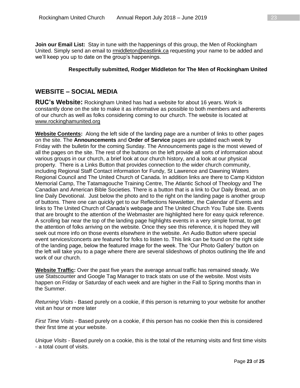**Join our Email List:** Stay in tune with the happenings of this group, the Men of Rockingham United. Simply send an email to [rmiddleton@eastlink.ca](mailto:rmiddleton@eastlink.ca) requesting your name to be added and we'll keep you up to date on the group's happenings.

#### **Respectfully submitted, Rodger Middleton for The Men of Rockingham United**

## **WEBSITE – SOCIAL MEDIA**

**RUC's Website:** Rockingham United has had a website for about 16 years. Work is constantly done on the site to make it as informative as possible to both members and adherents of our church as well as folks considering coming to our church. The website is located at [www.rockinghamunited.org](http://www.rockinghamunited.org/)

**Website Contents:** Along the left side of the landing page are a number of links to other pages on the site. The **Announcements** and **Order of Service** pages are updated each week by Friday with the bulletin for the coming Sunday. The Announcements page is the most viewed of all the pages on the site. The rest of the buttons on the left provide all sorts of information about various groups in our church, a brief look at our church history, and a look at our physical property. There is a Links Button that provides connection to the wider church community, including Regional Staff Contact information for Fundy, St Lawrence and Dawning Waters Regional Council and The United Church of Canada. In addition links are there to Camp Kidston Memorial Camp, The Tatamagouche Training Centre, The Atlantic School of Theology and The Canadian and American Bible Societies. There is a button that is a link to Our Daily Bread, an on line Daily Devotional. Just below the photo and to the right on the landing page is another group of buttons. There one can quickly get to our Reflections Newsletter, the Calendar of Events and links to The United Church of Canada's webpage and The United Church You Tube site. Events that are brought to the attention of the Webmaster are highlighted here for easy quick reference. A scrolling bar near the top of the landing page highlights events in a very simple format, to get the attention of folks arriving on the website. Once they see this reference, it is hoped they will seek out more info on those events elsewhere in the website. An Audio Button where special event services/concerts are featured for folks to listen to. This link can be found on the right side of the landing page, below the featured image for the week. The 'Our Photo Gallery' button on the left will take you to a page where there are several slideshows of photos outlining the life and work of our church.

**Website Traffic:** Over the past five years the average annual traffic has remained steady. We use Statscounter and Google Tag Manager to track stats on use of the website. Most visits happen on Friday or Saturday of each week and are higher in the Fall to Spring months than in the Summer.

*Returning Visits* - Based purely on a cookie, if this person is returning to your website for another visit an hour or more later

*First Time Visits* - Based purely on a cookie, if this person has no cookie then this is considered their first time at your website.

*Unique Visits* - Based purely on a cookie, this is the total of the returning visits and first time visits - a total count of visits.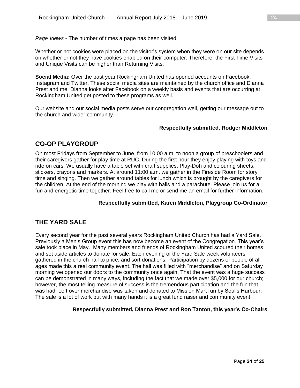*Page Views* - The number of times a page has been visited.

Whether or not cookies were placed on the visitor's system when they were on our site depends on whether or not they have cookies enabled on their computer. Therefore, the First Time Visits and Unique Visits can be higher than Returning Visits.

**Social Media:** Over the past year Rockingham United has opened accounts on Facebook, Instagram and Twitter. These social media sites are maintained by the church office and Dianna Prest and me. Dianna looks after Facebook on a weekly basis and events that are occurring at Rockingham United get posted to these programs as well.

Our website and our social media posts serve our congregation well, getting our message out to the church and wider community.

#### **Respectfully submitted, Rodger Middleton**

## **CO-OP PLAYGROUP**

On most Fridays from September to June, from 10:00 a.m. to noon a group of preschoolers and their caregivers gather for play time at RUC. During the first hour they enjoy playing with toys and ride on cars. We usually have a table set with craft supplies, Play-Doh and colouring sheets, stickers, crayons and markers. At around 11:00 a.m. we gather in the Fireside Room for story time and singing. Then we gather around tables for lunch which is brought by the caregivers for the children. At the end of the morning we play with balls and a parachute. Please join us for a fun and energetic time together. Feel free to call me or send me an email for further information.

#### **Respectfully submitted, Karen Middleton, Playgroup Co-Ordinator**

## **THE YARD SALE**

Every second year for the past several years Rockingham United Church has had a Yard Sale. Previously a Men's Group event this has now become an event of the Congregation. This year's sale took place in May. Many members and friends of Rockingham United scoured their homes and set aside articles to donate for sale. Each evening of the Yard Sale week volunteers gathered in the church hall to price, and sort donations. Participation by dozens of people of all ages made this a real community event. The hall was filled with "merchandise" and on Saturday morning we opened our doors to the community once again. That the event was a huge success can be demonstrated in many ways, including the fact that we made over \$5,000 for our church; however, the most telling measure of success is the tremendous participation and the fun that was had. Left over merchandise was taken and donated to Mission Mart run by Soul's Harbour. The sale is a lot of work but with many hands it is a great fund raiser and community event.

#### **Respectfully submitted, Dianna Prest and Ron Tanton, this year's Co-Chairs**